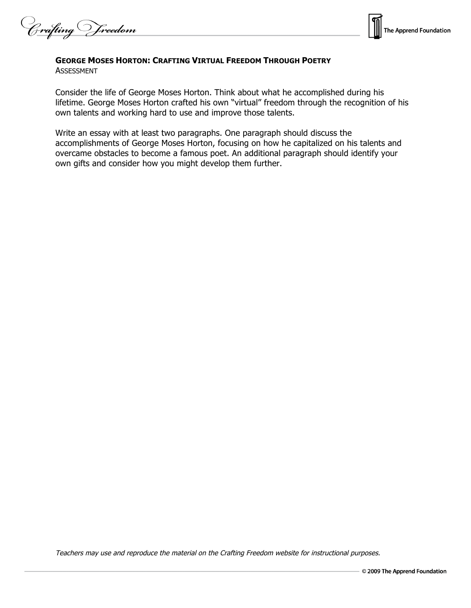Crafting Vreedom



## **GEORGE MOSES HORTON: CRAFTING VIRTUAL FREEDOM THROUGH POETRY**

ASSESSMENT

Consider the life of George Moses Horton. Think about what he accomplished during his lifetime. George Moses Horton crafted his own "virtual" freedom through the recognition of his own talents and working hard to use and improve those talents.

Write an essay with at least two paragraphs. One paragraph should discuss the accomplishments of George Moses Horton, focusing on how he capitalized on his talents and overcame obstacles to become a famous poet. An additional paragraph should identify your own gifts and consider how you might develop them further.

Teachers may use and reproduce the material on the Crafting Freedom website for instructional purposes.